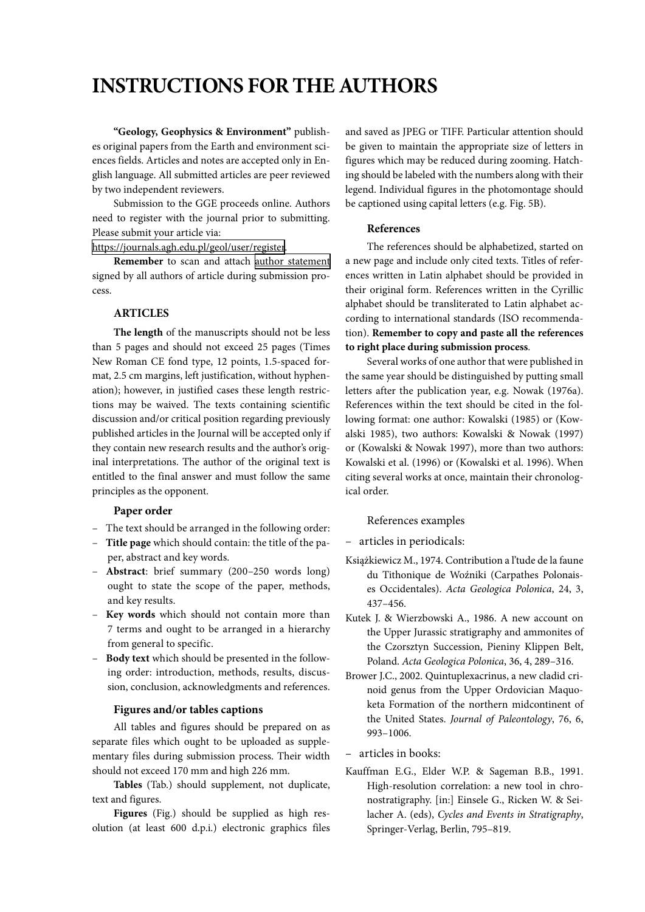# **INSTRUCTIONS FOR THE AUTHORS**

**"Geology, Geophysics & Environment"** publishes original papers from the Earth and environment sciences fields. Articles and notes are accepted only in English language. All submitted articles are peer reviewed by two independent reviewers.

Submission to the GGE proceeds online. Authors need to register with the journal prior to submitting. Please submit your article via:

https://journals.agh.edu.pl/geol/user/register.

**Remember** to scan and attach [author statement](http://journals.agh.edu.pl/public/journals/7/author_statement.doc) signed by all authors of article during submission process.

# **ARTICLES**

**The length** of the manuscripts should not be less than 5 pages and should not exceed 25 pages (Times New Roman CE fond type, 12 points, 1.5-spaced format, 2.5 cm margins, left justification, without hyphenation); however, in justified cases these length restrictions may be waived. The texts containing scientific discussion and/or critical position regarding previously published articles in the Journal will be accepted only if they contain new research results and the author's original interpretations. The author of the original text is entitled to the final answer and must follow the same principles as the opponent.

#### **Paper order**

- The text should be arranged in the following order:
- **Title page** which should contain: the title of the paper, abstract and key words.
- **Abstract**: brief summary (200–250 words long) ought to state the scope of the paper, methods, and key results.
- **Key words** which should not contain more than 7 terms and ought to be arranged in a hierarchy from general to specific.
- **Body text** which should be presented in the following order: introduction, methods, results, discussion, conclusion, acknowledgments and references.

#### **Figures and/or tables captions**

All tables and figures should be prepared on as separate files which ought to be uploaded as supplementary files during submission process. Their width should not exceed 170 mm and high 226 mm.

**Tables** (Tab.) should supplement, not duplicate, text and figures.

**Figures** (Fig.) should be supplied as high resolution (at least 600 d.p.i.) electronic graphics files and saved as JPEG or TIFF. Particular attention should be given to maintain the appropriate size of letters in figures which may be reduced during zooming. Hatching should be labeled with the numbers along with their legend. Individual figures in the photomontage should be captioned using capital letters (e.g. Fig. 5B).

### **References**

The references should be alphabetized, started on a new page and include only cited texts. Titles of references written in Latin alphabet should be provided in their original form. References written in the Cyrillic alphabet should be transliterated to Latin alphabet according to international standards (ISO recommendation). **Remember to copy and paste all the references to right place during submission process**.

Several works of one author that were published in the same year should be distinguished by putting small letters after the publication year, e.g. Nowak (1976a). References within the text should be cited in the following format: one author: Kowalski (1985) or (Kowalski 1985), two authors: Kowalski & Nowak (1997) or (Kowalski & Nowak 1997), more than two authors: Kowalski et al. (1996) or (Kowalski et al. 1996). When citing several works at once, maintain their chronological order.

#### References examples

- articles in periodicals:
- Książkiewicz M., 1974. Contribution a l'tude de la faune du Tithonique de Woźniki (Carpathes Polonaises Occidentales). *Acta Geologica Polonica*, 24, 3, 437–456.
- Kutek J. & Wierzbowski A., 1986. A new account on the Upper Jurassic stratigraphy and ammonites of the Czorsztyn Succession, Pieniny Klippen Belt, Poland. *Acta Geologica Polonica*, 36, 4, 289–316.
- Brower J.C., 2002. Quintuplexacrinus, a new cladid crinoid genus from the Upper Ordovician Maquoketa Formation of the northern midcontinent of the United States. *Journal of Paleontology*, 76, 6, 993–1006.

– articles in books:

Kauffman E.G., Elder W.P. & Sageman B.B., 1991. High-resolution correlation: a new tool in chronostratigraphy. [in:] Einsele G., Ricken W. & Seilacher A. (eds), *Cycles and Events in Stratigraphy*, Springer-Verlag, Berlin, 795–819.